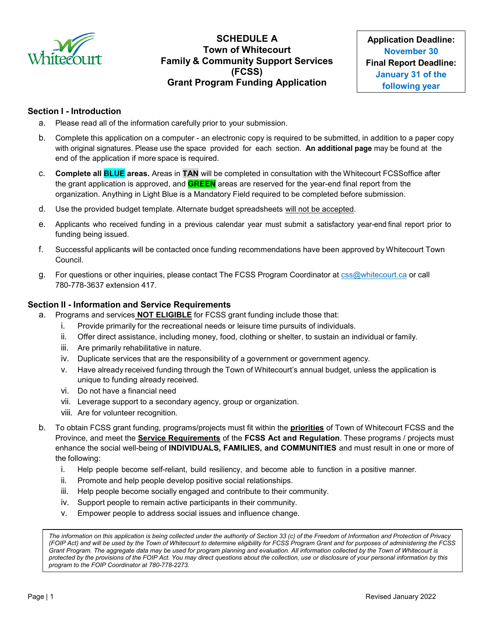

# **SCHEDULE A Town of Whitecourt Family & Community Support Services (FCSS) Grant Program Funding Application**

### **Section I - Introduction**

- a. Please read all of the information carefully prior to your submission.
- b. Complete this application on a computer an electronic copy is required to be submitted, in addition to a paper copy with original signatures. Please use the space provided for each section. **An additional page** may be found at the end of the application if more space is required.
- c. **Complete all BLUE areas.** Areas in **TAN** will be completed in consultation with the Whitecourt FCSSoffice after the grant application is approved, and **GREEN** areas are reserved for the year-end final report from the organization. Anything in Light Blue is a Mandatory Field required to be completed before submission.
- d. Use the provided budget template. Alternate budget spreadsheets will not be accepted.
- e. Applicants who received funding in a previous calendar year must submit a satisfactory year-end final report prior to funding being issued.
- f. Successful applicants will be contacted once funding recommendations have been approved by Whitecourt Town Council.
- g. For questions or other inquiries, please contact The FCSS Program Coordinator at [css@whitecourt.ca](mailto:fayarcand@whitecourt.ca) or call 780-778-3637 extension 417.

#### **Section II - Information and Service Requirements**

- a. Programs and services **NOT ELIGIBLE** for FCSS grant funding include those that:
	- i. Provide primarily for the recreational needs or leisure time pursuits of individuals.
	- ii. Offer direct assistance, including money, food, clothing or shelter, to sustain an individual or family.
	- iii. Are primarily rehabilitative in nature.
	- iv. Duplicate services that are the responsibility of a government or government agency.
	- v. Have already received funding through the Town of Whitecourt's annual budget, unless the application is unique to funding already received.
	- vi. Do not have a financial need
	- vii. Leverage support to a secondary agency, group or organization.
	- viii. Are for volunteer recognition.
- b. To obtain FCSS grant funding, programs/projects must fit within the **priorities** of Town of Whitecourt FCSS and the Province, and meet the **Service Requirements** of the **FCSS Act and Regulation**. These programs / projects must enhance the social well-being of **INDIVIDUALS, FAMILIES, and COMMUNITIES** and must result in one or more of the following:
	- i. Help people become self-reliant, build resiliency, and become able to function in a positive manner.
	- ii. Promote and help people develop positive social relationships.
	- iii. Help people become socially engaged and contribute to their community.
	- iv. Support people to remain active participants in their community.
	- v. Empower people to address social issues and influence change.

*The information on this application is being collected under the authority of Section 33 (c) of the Freedom of Information and Protection of Privacy (FOIP Act) and will be used by the Town of Whitecourt to determine eligibility for FCSS Program Grant and for purposes of administering the FCSS Grant Program. The aggregate data may be used for program planning and evaluation. All information collected by the Town of Whitecourt is protected by the provisions of the FOIP Act. You may direct questions about the collection, use or disclosure of your personal information by this program to the FOIP Coordinator at 780-778-2273.*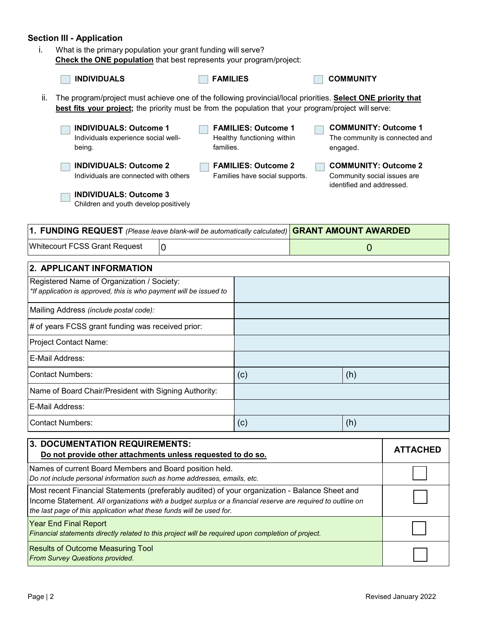# **Section III - Application**

i. What is the primary population your grant funding will serve? **Check the ONE population** that best represents your program/project:

| <b>Check the ONE population</b> that best represents your program/project:                                                                                                                                                   |                 |                                                              |  |                                                                                         |                 |  |
|------------------------------------------------------------------------------------------------------------------------------------------------------------------------------------------------------------------------------|-----------------|--------------------------------------------------------------|--|-----------------------------------------------------------------------------------------|-----------------|--|
| <b>INDIVIDUALS</b>                                                                                                                                                                                                           | <b>FAMILIES</b> |                                                              |  | <b>COMMUNITY</b>                                                                        |                 |  |
| The program/project must achieve one of the following provincial/local priorities. Select ONE priority that<br>ii.<br>best fits your project; the priority must be from the population that your program/project will serve: |                 |                                                              |  |                                                                                         |                 |  |
| <b>INDIVIDUALS: Outcome 1</b><br>Individuals experience social well-<br>being.                                                                                                                                               | families.       | <b>FAMILIES: Outcome 1</b><br>Healthy functioning within     |  | <b>COMMUNITY: Outcome 1</b><br>The community is connected and<br>engaged.               |                 |  |
| <b>INDIVIDUALS: Outcome 2</b><br>Individuals are connected with others                                                                                                                                                       |                 | <b>FAMILIES: Outcome 2</b><br>Families have social supports. |  | <b>COMMUNITY: Outcome 2</b><br>Community social issues are<br>identified and addressed. |                 |  |
| <b>INDIVIDUALS: Outcome 3</b><br>Children and youth develop positively                                                                                                                                                       |                 |                                                              |  |                                                                                         |                 |  |
| 1. FUNDING REQUEST (Please leave blank-will be automatically calculated)                                                                                                                                                     |                 |                                                              |  | <b>GRANT AMOUNT AWARDED</b>                                                             |                 |  |
| <b>Whitecourt FCSS Grant Request</b><br>$\overline{0}$                                                                                                                                                                       |                 |                                                              |  | $\overline{0}$                                                                          |                 |  |
| 2. APPLICANT INFORMATION                                                                                                                                                                                                     |                 |                                                              |  |                                                                                         |                 |  |
| Registered Name of Organization / Society:<br>*If application is approved, this is who payment will be issued to                                                                                                             |                 |                                                              |  |                                                                                         |                 |  |
| Mailing Address (include postal code):                                                                                                                                                                                       |                 |                                                              |  |                                                                                         |                 |  |
| # of years FCSS grant funding was received prior:                                                                                                                                                                            |                 |                                                              |  |                                                                                         |                 |  |
| Project Contact Name:                                                                                                                                                                                                        |                 |                                                              |  |                                                                                         |                 |  |
| E-Mail Address:                                                                                                                                                                                                              |                 |                                                              |  |                                                                                         |                 |  |
| <b>Contact Numbers:</b>                                                                                                                                                                                                      |                 | (c)                                                          |  | (h)                                                                                     |                 |  |
| Name of Board Chair/President with Signing Authority:                                                                                                                                                                        |                 |                                                              |  |                                                                                         |                 |  |
| E-Mail Address:                                                                                                                                                                                                              |                 |                                                              |  |                                                                                         |                 |  |
| <b>Contact Numbers:</b>                                                                                                                                                                                                      |                 | (c)                                                          |  | (h)                                                                                     |                 |  |
| <b>3. DOCUMENTATION REQUIREMENTS:</b><br>Do not provide other attachments unless requested to do                                                                                                                             |                 |                                                              |  |                                                                                         | <b>ATTACHED</b> |  |

| Do not provide other attachments unless requested to do so.                                                                                                                                                                                                                           | <b>ATTACHED</b> |
|---------------------------------------------------------------------------------------------------------------------------------------------------------------------------------------------------------------------------------------------------------------------------------------|-----------------|
| Names of current Board Members and Board position held.<br>Do not include personal information such as home addresses, emails, etc.                                                                                                                                                   |                 |
| Most recent Financial Statements (preferably audited) of your organization - Balance Sheet and<br>Income Statement. All organizations with a budget surplus or a financial reserve are required to outline on<br>the last page of this application what these funds will be used for. |                 |
| <b>Year End Final Report</b><br>Financial statements directly related to this project will be required upon completion of project.                                                                                                                                                    |                 |
| <b>Results of Outcome Measuring Tool</b><br><b>From Survey Questions provided.</b>                                                                                                                                                                                                    |                 |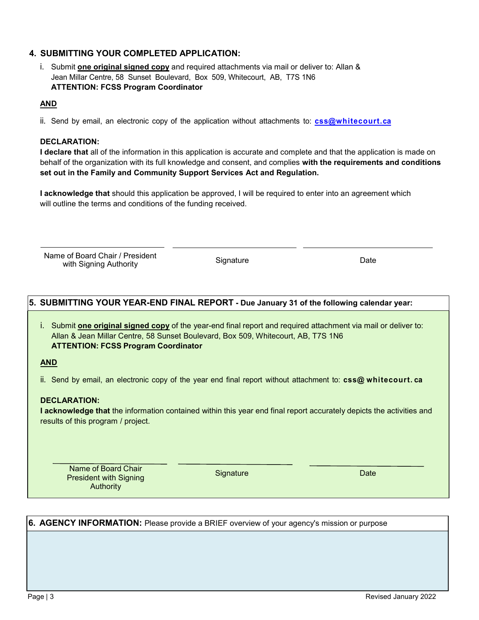# **4. SUBMITTING YOUR COMPLETED APPLICATION:**

i. Submit **one original signed copy** and required attachments via mail or deliver to: Allan & Jean Millar Centre, 58 Sunset Boulevard, Box 509, Whitecourt, AB, T7S 1N6 **ATTENTION: FCSS Program Coordinator**

## **AND**

ii. Send by email, an electronic copy of the application without attachments to: **[css@whitecourt.ca](mailto:css@whitecourt.ca)**

### **DECLARATION:**

**I declare that** all of the information in this application is accurate and complete and that the application is made on behalf of the organization with its full knowledge and consent, and complies **with the requirements and conditions set out in the Family and [Community](https://www.qp.alberta.ca/documents/Acts/F03.pdf) Support Services Act and Regulation.**

**I acknowledge that** should this application be approved, I will be required to enter into an agreement which will outline the terms and conditions of the funding received.

Name of Board Chair / President e of Board Chair 7 Festivent Contract Signature<br>
with Signing Authority Contract Contract Signature

#### **5. SUBMITTING YOUR YEAR-END FINAL REPORT - Due January 31 of the following calendar year:**

i. Submit **one original signed copy** of the year-end final report and required attachment via mail or deliver to: Allan & Jean Millar Centre, 58 Sunset Boulevard, Box 509, Whitecourt, AB, T7S 1N6 **ATTENTION: FCSS Program Coordinator**

**AND**

ii. Send by email, an electronic copy of the year end final report without attachment to: **css@ whitecourt. ca**

#### **DECLARATION:**

**I acknowledge that** the information contained within this year end final report accurately depicts the activities and results of this program / project.

Name of Board Chair President with Signing Authority

Signature Date Date Date

#### **6. AGENCY INFORMATION:** Please provide a BRIEF overview of your agency's mission or purpose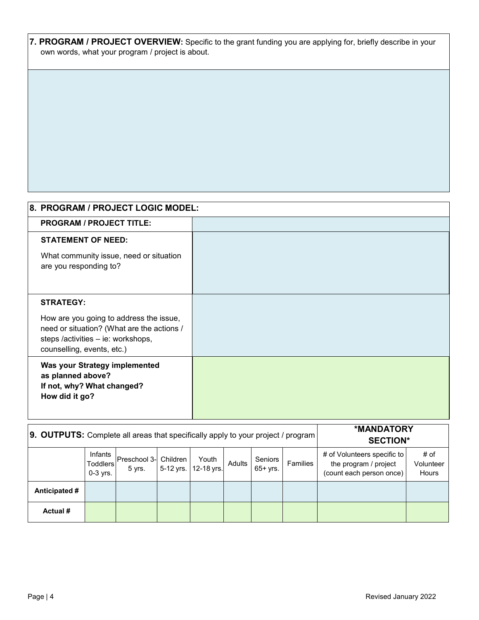**7. PROGRAM / PROJECT OVERVIEW:** Specific to the grant funding you are applying for, briefly describe in your own words, what your program / project is about.

| 8. PROGRAM / PROJECT LOGIC MODEL:                                                                                                                         |  |
|-----------------------------------------------------------------------------------------------------------------------------------------------------------|--|
| <b>PROGRAM / PROJECT TITLE:</b>                                                                                                                           |  |
| <b>STATEMENT OF NEED:</b>                                                                                                                                 |  |
| What community issue, need or situation<br>are you responding to?                                                                                         |  |
| <b>STRATEGY:</b>                                                                                                                                          |  |
| How are you going to address the issue,<br>need or situation? (What are the actions /<br>steps /activities - ie: workshops,<br>counselling, events, etc.) |  |
| Was your Strategy implemented<br>as planned above?<br>If not, why? What changed?<br>How did it go?                                                        |  |

| <b>9. OUTPUTS:</b> Complete all areas that specifically apply to your project / program |                                          |                                     |  |                               |        | *MANDATORY<br><b>SECTION*</b> |          |                                                                                  |                            |
|-----------------------------------------------------------------------------------------|------------------------------------------|-------------------------------------|--|-------------------------------|--------|-------------------------------|----------|----------------------------------------------------------------------------------|----------------------------|
|                                                                                         | Infants<br><b>Toddlers</b><br>$0-3$ yrs. | Preschool 3- Children  <br>$5$ yrs. |  | Youth<br>5-12 yrs. 12-18 yrs. | Adults | <b>Seniors</b><br>$65+$ yrs.  | Families | # of Volunteers specific to<br>the program / project<br>(count each person once) | # of<br>Volunteer<br>Hours |
| Anticipated #                                                                           |                                          |                                     |  |                               |        |                               |          |                                                                                  |                            |
| Actual #                                                                                |                                          |                                     |  |                               |        |                               |          |                                                                                  |                            |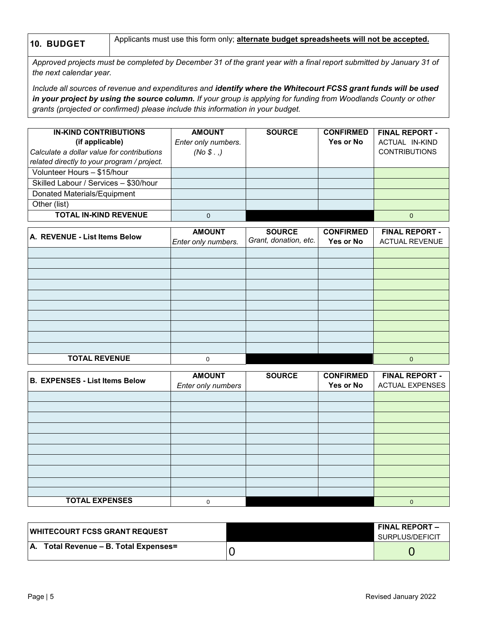**10. BUDGET** Applicants must use this form only; **alternate budget spreadsheets will not be accepted.**

Approved projects must be completed by December 31 of the grant year with a final report submitted by January 31 of *the next calendar year.*

Include all sources of revenue and expenditures and identify where the Whitecourt FCSS grant funds will be used *in your project by using the source column. If your group is applying for funding from Woodlands County or other grants (projected or confirmed) please include this information in your budget.*

| <b>IN-KIND CONTRIBUTIONS</b><br>(if applicable)<br>Calculate a dollar value for contributions<br>related directly to your program / project. | <b>AMOUNT</b><br>Enter only numbers.<br>(No S. ) | <b>SOURCE</b> | <b>CONFIRMED</b><br>Yes or No | <b>FINAL REPORT -</b><br>ACTUAL IN-KIND<br><b>CONTRIBUTIONS</b> |
|----------------------------------------------------------------------------------------------------------------------------------------------|--------------------------------------------------|---------------|-------------------------------|-----------------------------------------------------------------|
| Volunteer Hours - \$15/hour                                                                                                                  |                                                  |               |                               |                                                                 |
| Skilled Labour / Services - \$30/hour                                                                                                        |                                                  |               |                               |                                                                 |
| Donated Materials/Equipment                                                                                                                  |                                                  |               |                               |                                                                 |
| Other (list)                                                                                                                                 |                                                  |               |                               |                                                                 |
| <b>TOTAL IN-KIND REVENUE</b>                                                                                                                 | 0                                                |               |                               | 0                                                               |

| A. REVENUE - List Items Below | <b>AMOUNT</b><br>Enter only numbers. | <b>SOURCE</b><br>Grant, donation, etc. | <b>CONFIRMED</b><br>Yes or No | <b>FINAL REPORT -</b><br><b>ACTUAL REVENUE</b> |
|-------------------------------|--------------------------------------|----------------------------------------|-------------------------------|------------------------------------------------|
|                               |                                      |                                        |                               |                                                |
|                               |                                      |                                        |                               |                                                |
|                               |                                      |                                        |                               |                                                |
|                               |                                      |                                        |                               |                                                |
|                               |                                      |                                        |                               |                                                |
|                               |                                      |                                        |                               |                                                |
|                               |                                      |                                        |                               |                                                |
|                               |                                      |                                        |                               |                                                |
|                               |                                      |                                        |                               |                                                |
|                               |                                      |                                        |                               |                                                |
| <b>TOTAL REVENUE</b>          | 0                                    |                                        |                               | $\mathbf{0}$                                   |

| B. EXPENSES - List Items Below | <b>AMOUNT</b>      | <b>SOURCE</b> | <b>CONFIRMED</b> | <b>FINAL REPORT -</b>  |
|--------------------------------|--------------------|---------------|------------------|------------------------|
|                                | Enter only numbers |               | Yes or No        | <b>ACTUAL EXPENSES</b> |
|                                |                    |               |                  |                        |
|                                |                    |               |                  |                        |
|                                |                    |               |                  |                        |
|                                |                    |               |                  |                        |
|                                |                    |               |                  |                        |
|                                |                    |               |                  |                        |
|                                |                    |               |                  |                        |
|                                |                    |               |                  |                        |
|                                |                    |               |                  |                        |
|                                |                    |               |                  |                        |
| <b>TOTAL EXPENSES</b>          | 0                  |               |                  | $\mathbf 0$            |

| <b>IWHITECOURT FCSS GRANT REQUEST</b>    | I FINAL REPORT –<br>SURPLUS/DEFICIT |
|------------------------------------------|-------------------------------------|
| $ A.$ Total Revenue – B. Total Expenses= |                                     |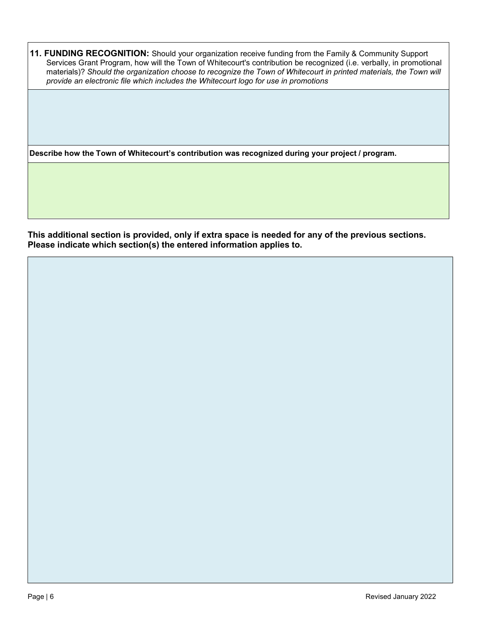**11. FUNDING RECOGNITION:** Should your organization receive funding from the Family & Community Support Services Grant Program, how will the Town of Whitecourt's contribution be recognized (i.e. verbally, in promotional materials)? *Should the organization choose to recognize the Town of Whitecourt in printed materials, the Town will provide an electronic file which includes the Whitecourt logo for use in promotions*

**Describe how the Town of Whitecourt's contribution was recognized during your project / program.**

**This additional section is provided, only if extra space is needed for any of the previous sections. Please indicate which section(s) the entered information applies to.**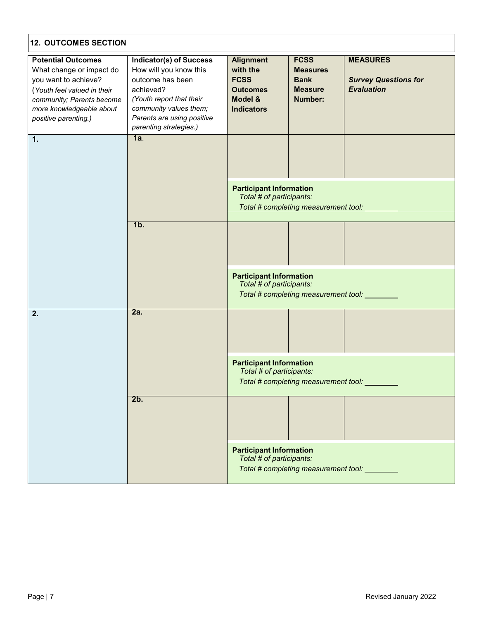| <b>12. OUTCOMES SECTION</b>                                                                                                                                                                   |                                                                                                                                                                                                         |                                                                                                |                                                                            |                                                                     |
|-----------------------------------------------------------------------------------------------------------------------------------------------------------------------------------------------|---------------------------------------------------------------------------------------------------------------------------------------------------------------------------------------------------------|------------------------------------------------------------------------------------------------|----------------------------------------------------------------------------|---------------------------------------------------------------------|
| <b>Potential Outcomes</b><br>What change or impact do<br>you want to achieve?<br>(Youth feel valued in their<br>community; Parents become<br>more knowledgeable about<br>positive parenting.) | <b>Indicator(s) of Success</b><br>How will you know this<br>outcome has been<br>achieved?<br>(Youth report that their<br>community values them;<br>Parents are using positive<br>parenting strategies.) | <b>Alignment</b><br>with the<br><b>FCSS</b><br><b>Outcomes</b><br>Model &<br><b>Indicators</b> | <b>FCSS</b><br><b>Measures</b><br><b>Bank</b><br><b>Measure</b><br>Number: | <b>MEASURES</b><br><b>Survey Questions for</b><br><b>Evaluation</b> |
| 1.                                                                                                                                                                                            | 1a.                                                                                                                                                                                                     |                                                                                                |                                                                            |                                                                     |
|                                                                                                                                                                                               |                                                                                                                                                                                                         | <b>Participant Information</b><br>Total # of participants:                                     | Total # completing measurement tool: _________                             |                                                                     |
|                                                                                                                                                                                               | 1b.                                                                                                                                                                                                     |                                                                                                |                                                                            |                                                                     |
|                                                                                                                                                                                               |                                                                                                                                                                                                         | <b>Participant Information</b><br>Total # of participants:                                     | Total # completing measurement tool: _________                             |                                                                     |
| 2.                                                                                                                                                                                            | 2a.                                                                                                                                                                                                     |                                                                                                |                                                                            |                                                                     |
|                                                                                                                                                                                               |                                                                                                                                                                                                         | <b>Participant Information</b><br>Total # of participants:                                     | Total # completing measurement tool:                                       |                                                                     |
|                                                                                                                                                                                               | 2b.                                                                                                                                                                                                     |                                                                                                |                                                                            |                                                                     |
|                                                                                                                                                                                               |                                                                                                                                                                                                         | <b>Participant Information</b><br>Total # of participants:                                     | Total # completing measurement tool:                                       |                                                                     |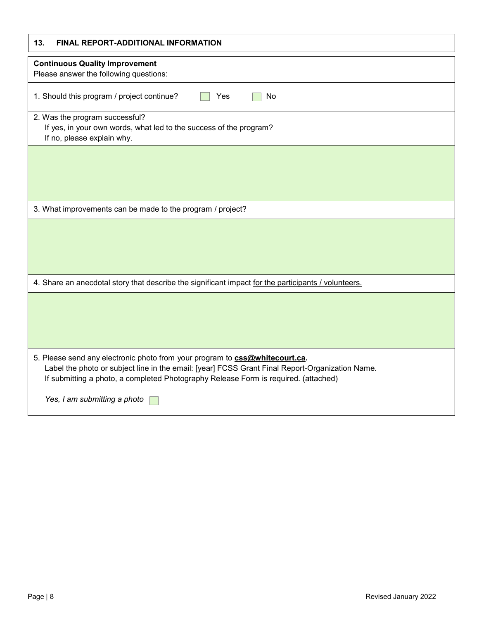| 13.<br>FINAL REPORT-ADDITIONAL INFORMATION                                                                                                                                                                                                                            |
|-----------------------------------------------------------------------------------------------------------------------------------------------------------------------------------------------------------------------------------------------------------------------|
| <b>Continuous Quality Improvement</b><br>Please answer the following questions:                                                                                                                                                                                       |
| 1. Should this program / project continue?<br>No<br>Yes                                                                                                                                                                                                               |
| 2. Was the program successful?<br>If yes, in your own words, what led to the success of the program?<br>If no, please explain why.                                                                                                                                    |
|                                                                                                                                                                                                                                                                       |
|                                                                                                                                                                                                                                                                       |
| 3. What improvements can be made to the program / project?                                                                                                                                                                                                            |
|                                                                                                                                                                                                                                                                       |
| 4. Share an anecdotal story that describe the significant impact for the participants / volunteers.                                                                                                                                                                   |
|                                                                                                                                                                                                                                                                       |
| 5. Please send any electronic photo from your program to css@whitecourt.ca.<br>Label the photo or subject line in the email: [year] FCSS Grant Final Report-Organization Name.<br>If submitting a photo, a completed Photography Release Form is required. (attached) |
| Yes, I am submitting a photo                                                                                                                                                                                                                                          |